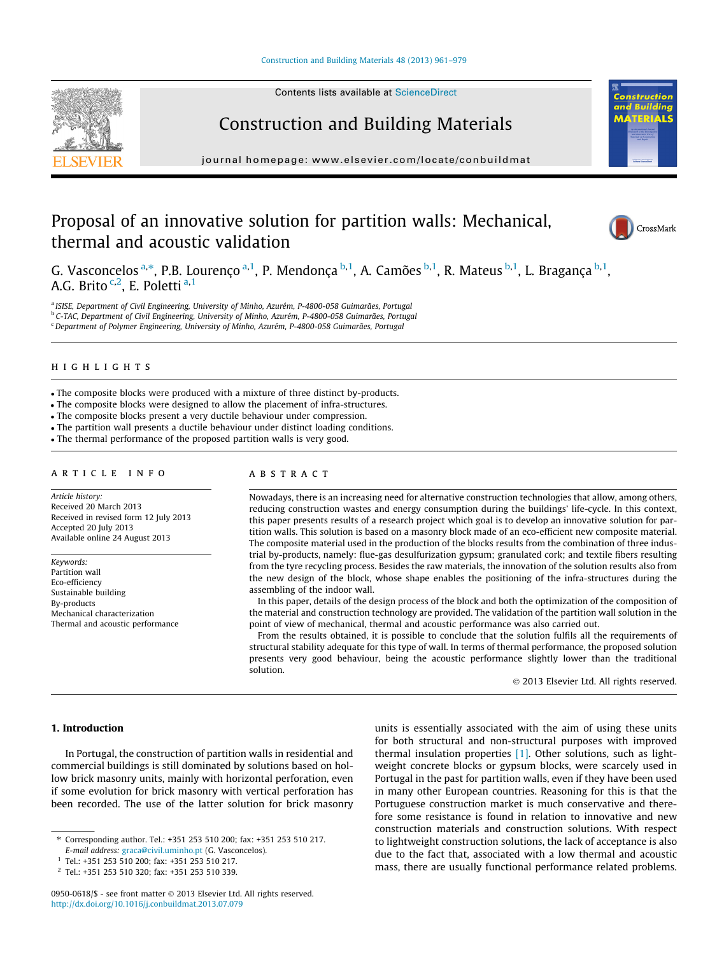#### [Construction and Building Materials 48 \(2013\) 961–979](http://dx.doi.org/10.1016/j.conbuildmat.2013.07.079)

Contents lists available at [ScienceDirect](http://www.sciencedirect.com/science/journal/09500618)



journal homepage: [www.elsevier.com/locate/conbuildmat](http://www.elsevier.com/locate/conbuildmat)

## Proposal of an innovative solution for partition walls: Mechanical, thermal and acoustic validation



Construction **Building TERIALS** 

**M** 

G. Vasconcelos <sup>a,\*</sup>, P.B. Lourenço <sup>a,1</sup>, P. Mendonça <sup>b,1</sup>, A. Camões <sup>b,1</sup>, R. Mateus <sup>b,1</sup>, L. Bragança <sup>b,1</sup>, A.G. Brito <sup>c,2</sup>, E. Poletti <sup>a,1</sup>

<sup>a</sup> ISISE, Department of Civil Engineering, University of Minho, Azurém, P-4800-058 Guimarães, Portugal <sup>b</sup> C-TAC, Department of Civil Engineering, University of Minho, Azurém, P-4800-058 Guimarães, Portugal <sup>c</sup> Department of Polymer Engineering, University of Minho, Azurém, P-4800-058 Guimarães, Portugal

#### highlights

- The composite blocks were produced with a mixture of three distinct by-products.
- The composite blocks were designed to allow the placement of infra-structures.
- The composite blocks present a very ductile behaviour under compression.
- The partition wall presents a ductile behaviour under distinct loading conditions.
- The thermal performance of the proposed partition walls is very good.

#### article info

Article history: Received 20 March 2013 Received in revised form 12 July 2013 Accepted 20 July 2013 Available online 24 August 2013

Keywords: Partition wall Eco-efficiency Sustainable building By-products Mechanical characterization Thermal and acoustic performance

### ABSTRACT

Nowadays, there is an increasing need for alternative construction technologies that allow, among others, reducing construction wastes and energy consumption during the buildings' life-cycle. In this context, this paper presents results of a research project which goal is to develop an innovative solution for partition walls. This solution is based on a masonry block made of an eco-efficient new composite material. The composite material used in the production of the blocks results from the combination of three industrial by-products, namely: flue-gas desulfurization gypsum; granulated cork; and textile fibers resulting from the tyre recycling process. Besides the raw materials, the innovation of the solution results also from the new design of the block, whose shape enables the positioning of the infra-structures during the assembling of the indoor wall.

In this paper, details of the design process of the block and both the optimization of the composition of the material and construction technology are provided. The validation of the partition wall solution in the point of view of mechanical, thermal and acoustic performance was also carried out.

From the results obtained, it is possible to conclude that the solution fulfils all the requirements of structural stability adequate for this type of wall. In terms of thermal performance, the proposed solution presents very good behaviour, being the acoustic performance slightly lower than the traditional solution.

- 2013 Elsevier Ltd. All rights reserved.

#### 1. Introduction

In Portugal, the construction of partition walls in residential and commercial buildings is still dominated by solutions based on hollow brick masonry units, mainly with horizontal perforation, even if some evolution for brick masonry with vertical perforation has been recorded. The use of the latter solution for brick masonry units is essentially associated with the aim of using these units for both structural and non-structural purposes with improved thermal insulation properties [\[1\]](#page--1-0). Other solutions, such as lightweight concrete blocks or gypsum blocks, were scarcely used in Portugal in the past for partition walls, even if they have been used in many other European countries. Reasoning for this is that the Portuguese construction market is much conservative and therefore some resistance is found in relation to innovative and new construction materials and construction solutions. With respect to lightweight construction solutions, the lack of acceptance is also due to the fact that, associated with a low thermal and acoustic mass, there are usually functional performance related problems.

<sup>⇑</sup> Corresponding author. Tel.: +351 253 510 200; fax: +351 253 510 217.

E-mail address: [graca@civil.uminho.pt](mailto:graca@civil.uminho.pt) (G. Vasconcelos).

<sup>1</sup> Tel.: +351 253 510 200; fax: +351 253 510 217.

<sup>2</sup> Tel.: +351 253 510 320; fax: +351 253 510 339.

<sup>0950-0618/\$ -</sup> see front matter © 2013 Elsevier Ltd. All rights reserved. <http://dx.doi.org/10.1016/j.conbuildmat.2013.07.079>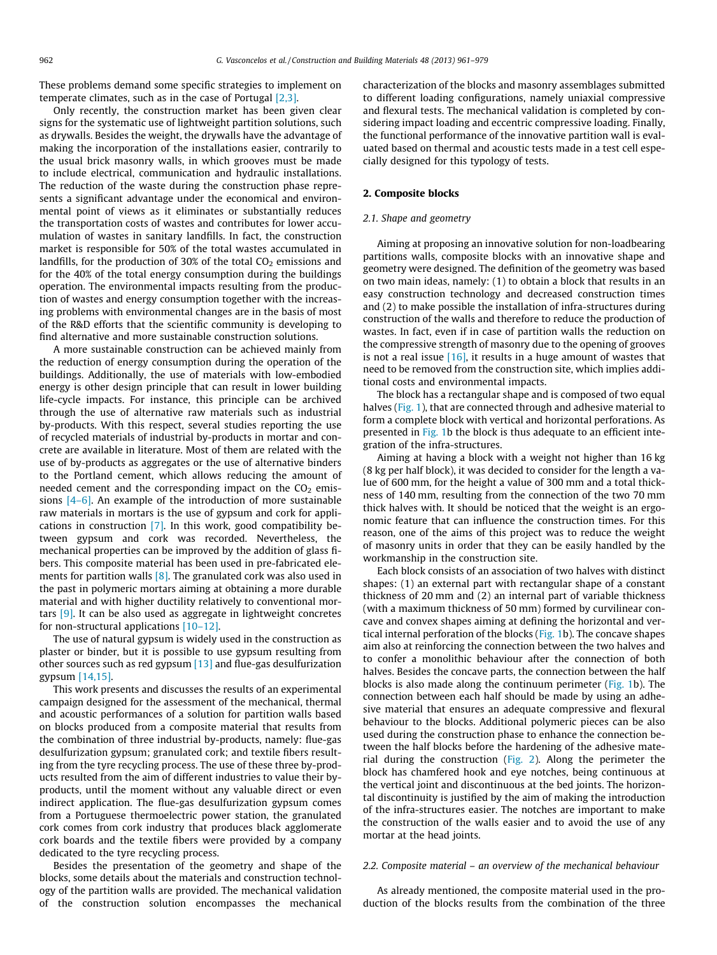These problems demand some specific strategies to implement on temperate climates, such as in the case of Portugal [\[2,3\]](#page--1-0).

Only recently, the construction market has been given clear signs for the systematic use of lightweight partition solutions, such as drywalls. Besides the weight, the drywalls have the advantage of making the incorporation of the installations easier, contrarily to the usual brick masonry walls, in which grooves must be made to include electrical, communication and hydraulic installations. The reduction of the waste during the construction phase represents a significant advantage under the economical and environmental point of views as it eliminates or substantially reduces the transportation costs of wastes and contributes for lower accumulation of wastes in sanitary landfills. In fact, the construction market is responsible for 50% of the total wastes accumulated in landfills, for the production of 30% of the total  $CO<sub>2</sub>$  emissions and for the 40% of the total energy consumption during the buildings operation. The environmental impacts resulting from the production of wastes and energy consumption together with the increasing problems with environmental changes are in the basis of most of the R&D efforts that the scientific community is developing to find alternative and more sustainable construction solutions.

A more sustainable construction can be achieved mainly from the reduction of energy consumption during the operation of the buildings. Additionally, the use of materials with low-embodied energy is other design principle that can result in lower building life-cycle impacts. For instance, this principle can be archived through the use of alternative raw materials such as industrial by-products. With this respect, several studies reporting the use of recycled materials of industrial by-products in mortar and concrete are available in literature. Most of them are related with the use of by-products as aggregates or the use of alternative binders to the Portland cement, which allows reducing the amount of needed cement and the corresponding impact on the  $CO<sub>2</sub>$  emissions  $[4-6]$ . An example of the introduction of more sustainable raw materials in mortars is the use of gypsum and cork for applications in construction [\[7\].](#page--1-0) In this work, good compatibility between gypsum and cork was recorded. Nevertheless, the mechanical properties can be improved by the addition of glass fibers. This composite material has been used in pre-fabricated elements for partition walls [\[8\].](#page--1-0) The granulated cork was also used in the past in polymeric mortars aiming at obtaining a more durable material and with higher ductility relatively to conventional mortars [\[9\].](#page--1-0) It can be also used as aggregate in lightweight concretes for non-structural applications [\[10–12\]](#page--1-0).

The use of natural gypsum is widely used in the construction as plaster or binder, but it is possible to use gypsum resulting from other sources such as red gypsum [\[13\]](#page--1-0) and flue-gas desulfurization gypsum [\[14,15\]](#page--1-0).

This work presents and discusses the results of an experimental campaign designed for the assessment of the mechanical, thermal and acoustic performances of a solution for partition walls based on blocks produced from a composite material that results from the combination of three industrial by-products, namely: flue-gas desulfurization gypsum; granulated cork; and textile fibers resulting from the tyre recycling process. The use of these three by-products resulted from the aim of different industries to value their byproducts, until the moment without any valuable direct or even indirect application. The flue-gas desulfurization gypsum comes from a Portuguese thermoelectric power station, the granulated cork comes from cork industry that produces black agglomerate cork boards and the textile fibers were provided by a company dedicated to the tyre recycling process.

Besides the presentation of the geometry and shape of the blocks, some details about the materials and construction technology of the partition walls are provided. The mechanical validation of the construction solution encompasses the mechanical characterization of the blocks and masonry assemblages submitted to different loading configurations, namely uniaxial compressive and flexural tests. The mechanical validation is completed by considering impact loading and eccentric compressive loading. Finally, the functional performance of the innovative partition wall is evaluated based on thermal and acoustic tests made in a test cell especially designed for this typology of tests.

#### 2. Composite blocks

#### 2.1. Shape and geometry

Aiming at proposing an innovative solution for non-loadbearing partitions walls, composite blocks with an innovative shape and geometry were designed. The definition of the geometry was based on two main ideas, namely: (1) to obtain a block that results in an easy construction technology and decreased construction times and (2) to make possible the installation of infra-structures during construction of the walls and therefore to reduce the production of wastes. In fact, even if in case of partition walls the reduction on the compressive strength of masonry due to the opening of grooves is not a real issue  $[16]$ , it results in a huge amount of wastes that need to be removed from the construction site, which implies additional costs and environmental impacts.

The block has a rectangular shape and is composed of two equal halves ([Fig. 1](#page--1-0)), that are connected through and adhesive material to form a complete block with vertical and horizontal perforations. As presented in [Fig. 1](#page--1-0)b the block is thus adequate to an efficient integration of the infra-structures.

Aiming at having a block with a weight not higher than 16 kg (8 kg per half block), it was decided to consider for the length a value of 600 mm, for the height a value of 300 mm and a total thickness of 140 mm, resulting from the connection of the two 70 mm thick halves with. It should be noticed that the weight is an ergonomic feature that can influence the construction times. For this reason, one of the aims of this project was to reduce the weight of masonry units in order that they can be easily handled by the workmanship in the construction site.

Each block consists of an association of two halves with distinct shapes: (1) an external part with rectangular shape of a constant thickness of 20 mm and (2) an internal part of variable thickness (with a maximum thickness of 50 mm) formed by curvilinear concave and convex shapes aiming at defining the horizontal and vertical internal perforation of the blocks ([Fig. 1b](#page--1-0)). The concave shapes aim also at reinforcing the connection between the two halves and to confer a monolithic behaviour after the connection of both halves. Besides the concave parts, the connection between the half blocks is also made along the continuum perimeter ([Fig. 1](#page--1-0)b). The connection between each half should be made by using an adhesive material that ensures an adequate compressive and flexural behaviour to the blocks. Additional polymeric pieces can be also used during the construction phase to enhance the connection between the half blocks before the hardening of the adhesive material during the construction ([Fig. 2](#page--1-0)). Along the perimeter the block has chamfered hook and eye notches, being continuous at the vertical joint and discontinuous at the bed joints. The horizontal discontinuity is justified by the aim of making the introduction of the infra-structures easier. The notches are important to make the construction of the walls easier and to avoid the use of any mortar at the head joints.

#### 2.2. Composite material – an overview of the mechanical behaviour

As already mentioned, the composite material used in the production of the blocks results from the combination of the three